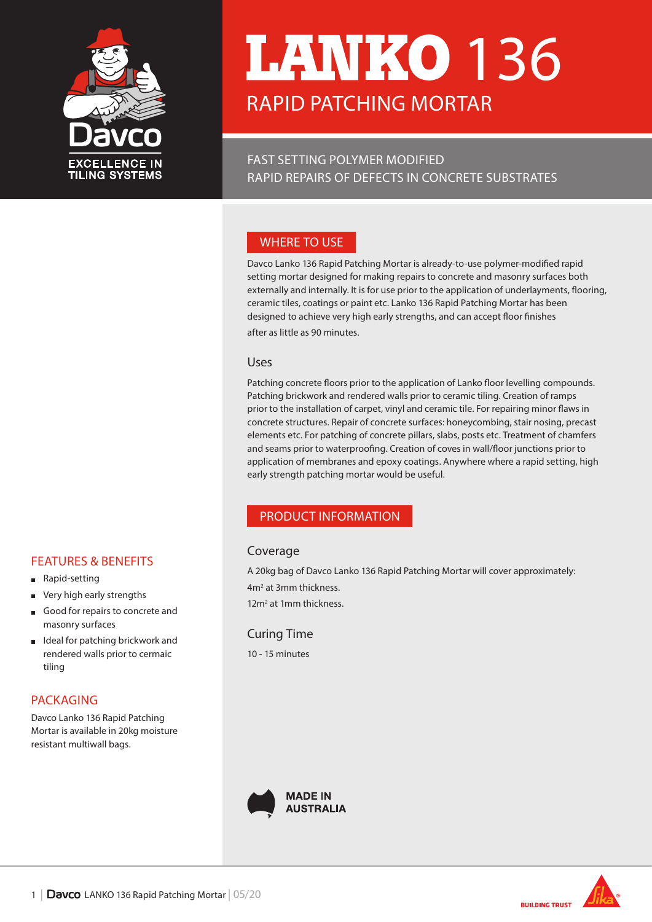

# RAPID PATCHING MORTAR **17ANIKO 136**

FAST SETTING POLYMER MODIFIED RAPID REPAIRS OF DEFECTS IN CONCRETE SUBSTRATES

# WHERE TO USE

Davco Lanko 136 Rapid Patching Mortar is already-to-use polymer-modified rapid setting mortar designed for making repairs to concrete and masonry surfaces both externally and internally. It is for use prior to the application of underlayments, flooring, ceramic tiles, coatings or paint etc. Lanko 136 Rapid Patching Mortar has been designed to achieve very high early strengths, and can accept floor finishes

#### Uses

Patching concrete floors prior to the application of Lanko floor levelling compounds. Patching brickwork and rendered walls prior to ceramic tiling. Creation of ramps prior to the installation of carpet, vinyl and ceramic tile. For repairing minor flaws in concrete structures. Repair of concrete surfaces: honeycombing, stair nosing, precast elements etc. For patching of concrete pillars, slabs, posts etc. Treatment of chamfers and seams prior to waterproofing. Creation of coves in wall/floor junctions prior to application of membranes and epoxy coatings. Anywhere where a rapid setting, high early strength patching mortar would be useful.

# PRODUCT INFORMATION

# Coverage

A 20kg bag of Davco Lanko 136 Rapid Patching Mortar will cover approximately: 4m2 at 3mm thickness.

12m<sup>2</sup> at 1mm thickness.

#### Curing Time

10 - 15 minutes



after as little as 90 minutes.





# FEATURES & BENEFITS

- **Rapid-setting**
- $\blacksquare$ Very high early strengths
- Good for repairs to concrete and  $\blacksquare$ masonry surfaces
- Ideal for patching brickwork and  $\blacksquare$ rendered walls prior to cermaic tiling

# PACKAGING

Davco Lanko 136 Rapid Patching Mortar is available in 20kg moisture resistant multiwall bags.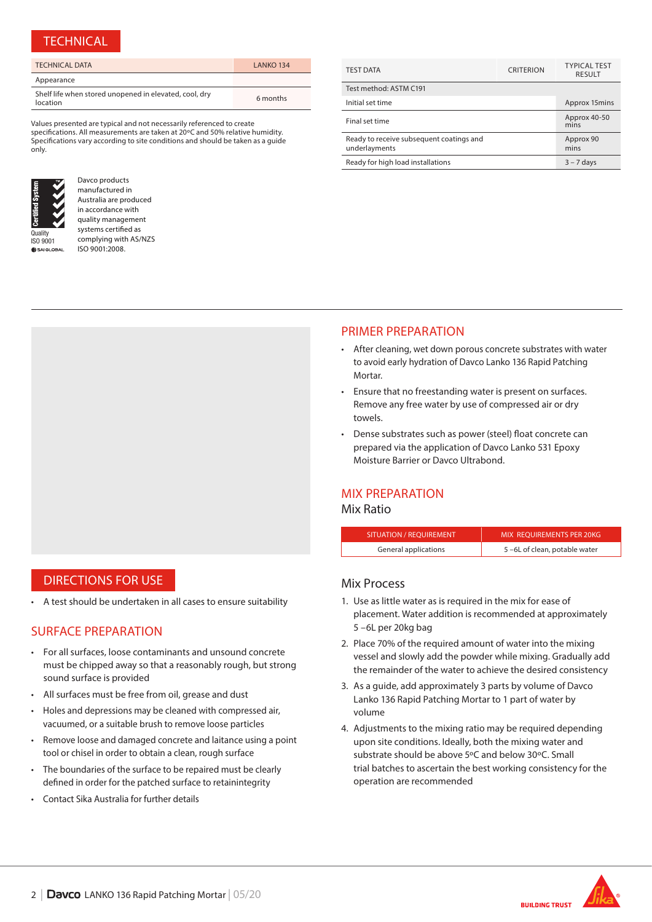#### **TECHNICAL**

| <b>TECHNICAL DATA</b>                                              | LANKO 134 |
|--------------------------------------------------------------------|-----------|
| Appearance                                                         |           |
| Shelf life when stored unopened in elevated, cool, dry<br>location | 6 months  |

Values presented are typical and not necessarily referenced to create specifications. All measurements are taken at 20ºC and 50% relative humidity. Specifications vary according to site conditions and should be taken as a guide only.



**SAIGLOR** 

Davco products manufactured in Australia are produced in accordance with quality management systems certified as complying with AS/NZS ISO 9001:2008.

| <b>TEST DATA</b>                                          | <b>CRITERION</b> | <b>TYPICAL TEST</b><br><b>RESULT</b> |
|-----------------------------------------------------------|------------------|--------------------------------------|
| Test method: ASTM C191                                    |                  |                                      |
| Initial set time                                          |                  | Approx 15mins                        |
| Final set time                                            |                  | Approx 40-50<br>mins                 |
| Ready to receive subsequent coatings and<br>underlayments |                  | Approx 90<br>mins                    |
| Ready for high load installations                         |                  | $3 - 7$ days                         |

#### PRIMER PREPARATION

- After cleaning, wet down porous concrete substrates with water to avoid early hydration of Davco Lanko 136 Rapid Patching Mortar.
- Ensure that no freestanding water is present on surfaces. Remove any free water by use of compressed air or dry towels.
- Dense substrates such as power (steel) float concrete can prepared via the application of Davco Lanko 531 Epoxy Moisture Barrier or Davco Ultrabond.

#### MIX PREPARATION

#### Mix Ratio

| SITUATION / REOUIREMENT | MIX REOUIREMENTS PER 20KG    |
|-------------------------|------------------------------|
| General applications    | 5-6L of clean, potable water |

### Mix Process

- 1. Use as little water as is required in the mix for ease of placement. Water addition is recommended at approximately 5 –6L per 20kg bag
- 2. Place 70% of the required amount of water into the mixing vessel and slowly add the powder while mixing. Gradually add the remainder of the water to achieve the desired consistency
- 3. As a guide, add approximately 3 parts by volume of Davco Lanko 136 Rapid Patching Mortar to 1 part of water by volume
- 4. Adjustments to the mixing ratio may be required depending upon site conditions. Ideally, both the mixing water and substrate should be above 5ºC and below 30ºC. Small trial batches to ascertain the best working consistency for the operation are recommended



# DIRECTIONS FOR USE

• A test should be undertaken in all cases to ensure suitability

# SURFACE PREPARATION

- For all surfaces, loose contaminants and unsound concrete must be chipped away so that a reasonably rough, but strong sound surface is provided
- All surfaces must be free from oil, grease and dust
- Holes and depressions may be cleaned with compressed air, vacuumed, or a suitable brush to remove loose particles
- Remove loose and damaged concrete and laitance using a point tool or chisel in order to obtain a clean, rough surface
- The boundaries of the surface to be repaired must be clearly defined in order for the patched surface to retainintegrity
- Contact Sika Australia for further details